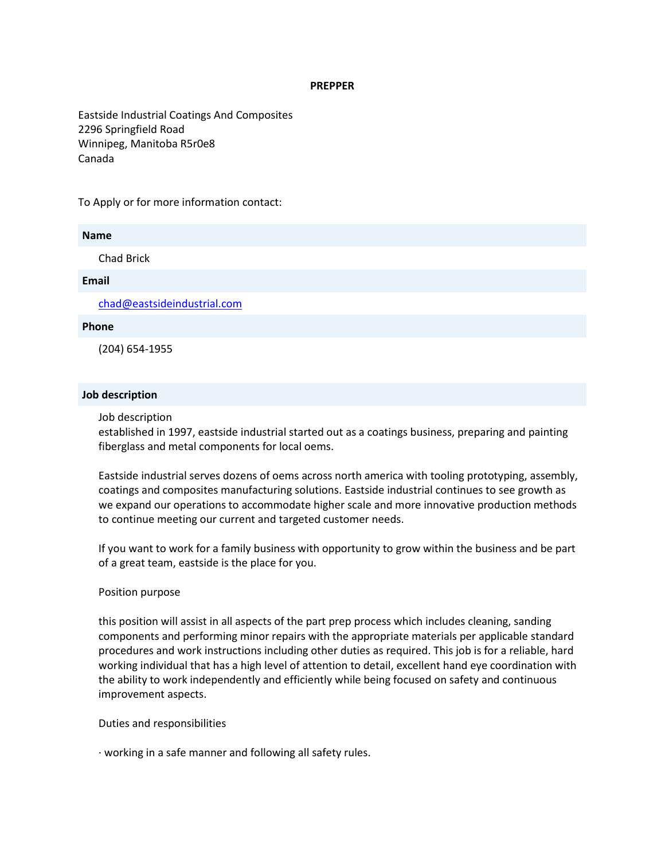### **PREPPER**

Eastside Industrial Coatings And Composites 2296 Springfield Road Winnipeg, Manitoba R5r0e8 Canada

To Apply or for more information contact:

# **Name**

Chad Brick

### **Email**

[chad@eastsideindustrial.com](mailto:CHAD@EASTSIDEINDUSTRIAL.COM)

### **Phone**

(204) 654-1955

## **Job description**

Job description

established in 1997, eastside industrial started out as a coatings business, preparing and painting fiberglass and metal components for local oems.

Eastside industrial serves dozens of oems across north america with tooling prototyping, assembly, coatings and composites manufacturing solutions. Eastside industrial continues to see growth as we expand our operations to accommodate higher scale and more innovative production methods to continue meeting our current and targeted customer needs.

If you want to work for a family business with opportunity to grow within the business and be part of a great team, eastside is the place for you.

# Position purpose

this position will assist in all aspects of the part prep process which includes cleaning, sanding components and performing minor repairs with the appropriate materials per applicable standard procedures and work instructions including other duties as required. This job is for a reliable, hard working individual that has a high level of attention to detail, excellent hand eye coordination with the ability to work independently and efficiently while being focused on safety and continuous improvement aspects.

Duties and responsibilities

· working in a safe manner and following all safety rules.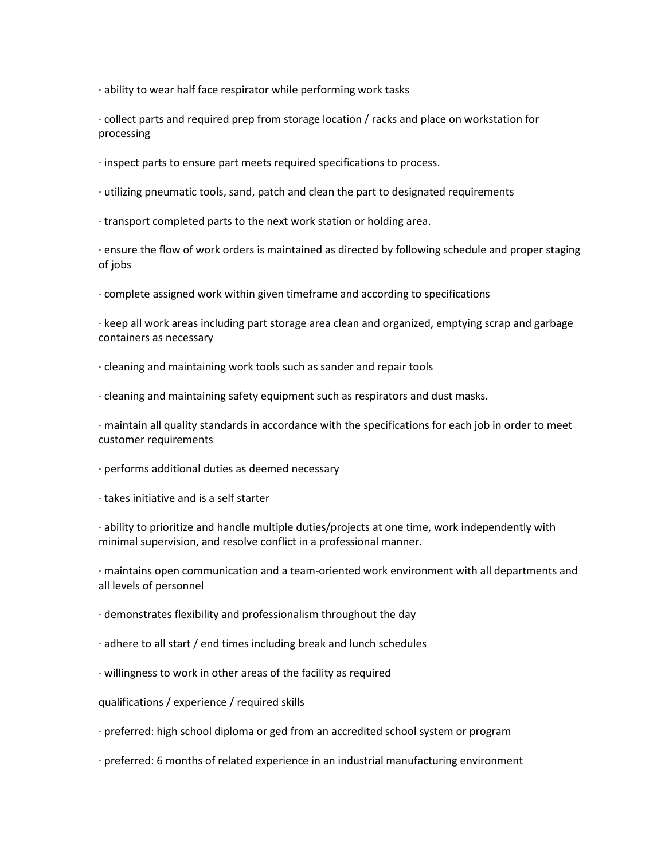· ability to wear half face respirator while performing work tasks

· collect parts and required prep from storage location / racks and place on workstation for processing

· inspect parts to ensure part meets required specifications to process.

· utilizing pneumatic tools, sand, patch and clean the part to designated requirements

· transport completed parts to the next work station or holding area.

· ensure the flow of work orders is maintained as directed by following schedule and proper staging of jobs

· complete assigned work within given timeframe and according to specifications

· keep all work areas including part storage area clean and organized, emptying scrap and garbage containers as necessary

· cleaning and maintaining work tools such as sander and repair tools

· cleaning and maintaining safety equipment such as respirators and dust masks.

· maintain all quality standards in accordance with the specifications for each job in order to meet customer requirements

· performs additional duties as deemed necessary

· takes initiative and is a self starter

· ability to prioritize and handle multiple duties/projects at one time, work independently with minimal supervision, and resolve conflict in a professional manner.

· maintains open communication and a team-oriented work environment with all departments and all levels of personnel

· demonstrates flexibility and professionalism throughout the day

· adhere to all start / end times including break and lunch schedules

· willingness to work in other areas of the facility as required

qualifications / experience / required skills

· preferred: high school diploma or ged from an accredited school system or program

· preferred: 6 months of related experience in an industrial manufacturing environment